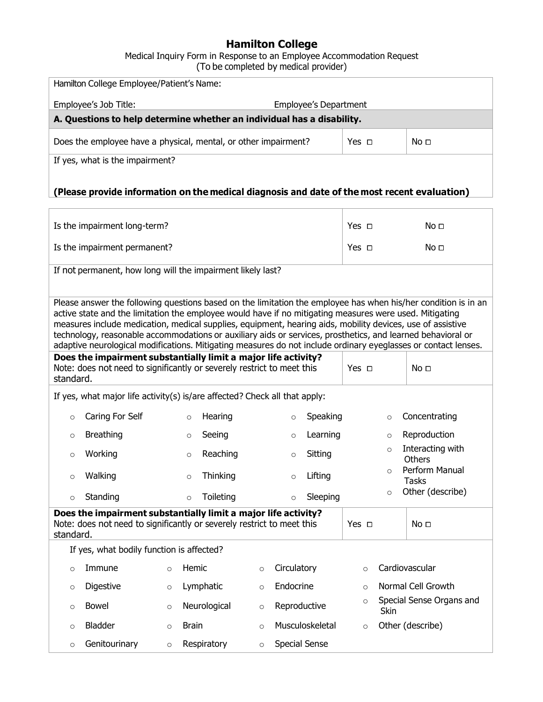## **Hamilton College**

Medical Inquiry Form in Response to an Employee Accommodation Request (To be completed by medical provider)

| Hamilton College Employee/Patient's Name:                                                        |  |            |                 |  |  |  |
|--------------------------------------------------------------------------------------------------|--|------------|-----------------|--|--|--|
| Employee's Job Title:<br><b>Employee's Department</b>                                            |  |            |                 |  |  |  |
| A. Questions to help determine whether an individual has a disability.                           |  |            |                 |  |  |  |
| Yes $\Box$<br>No <del>⊡</del><br>Does the employee have a physical, mental, or other impairment? |  |            |                 |  |  |  |
| If yes, what is the impairment?                                                                  |  |            |                 |  |  |  |
|                                                                                                  |  |            |                 |  |  |  |
| (Please provide information on the medical diagnosis and date of the most recent evaluation)     |  |            |                 |  |  |  |
|                                                                                                  |  |            |                 |  |  |  |
| Is the impairment long-term?                                                                     |  | Yes $\Box$ | No <del>⊟</del> |  |  |  |
| Is the impairment permanent?<br>Yes $\Box$<br>No <del>⊟</del>                                    |  |            |                 |  |  |  |
| If not permanent, how long will the impairment likely last?                                      |  |            |                 |  |  |  |
|                                                                                                  |  |            |                 |  |  |  |

Please answer the following questions based on the limitation the employee has when his/her condition is in an active state and the limitation the employee would have if no mitigating measures were used. Mitigating measures include medication, medical supplies, equipment, hearing aids, mobility devices, use of assistive technology, reasonable accommodations or auxiliary aids or services, prosthetics, and learned behavioral or adaptive neurological modifications. Mitigating measures do not include ordinary eyeglasses or contact lenses.

| Does the impairment substantially limit a major life activity?<br>Note: does not need to significantly or severely restrict to meet this<br>standard. | Yes $\Box$ | No <b>□</b> |
|-------------------------------------------------------------------------------------------------------------------------------------------------------|------------|-------------|
| If yes what major life activity(s) is/are affected? Check all that annly:                                                                             |            |             |

If yes, what major life activity(s) is/are affected? Check all that apply:

|         | . .<br>.         | . | <br>. .<br>--   |         | .        |          |                                   |
|---------|------------------|---|-----------------|---------|----------|----------|-----------------------------------|
|         | Standing         |   | Toileting       |         | Sleeping | O        | Other (describe)                  |
|         | Walking          |   | <b>Thinking</b> |         | Lifting  | $\Omega$ | Perform Manual<br>Tasks           |
| $\circ$ | Working          |   | Reaching        |         | Sitting  | $\circ$  | Interacting with<br><b>Others</b> |
|         | <b>Breathing</b> |   | Seeing          |         | Learning | $\circ$  | Reproduction                      |
| $\circ$ | Caring For Self  |   | Hearing         | $\circ$ | Speaking | $\circ$  | Concentrating                     |
|         |                  |   |                 |         |          |          |                                   |

| standard. | Does the impairment substantially limit a major life activity?<br>Note: does not need to significantly or severely restrict to meet this |          |              |          |                 | Yes □      |                | No $\sqcap$              |  |
|-----------|------------------------------------------------------------------------------------------------------------------------------------------|----------|--------------|----------|-----------------|------------|----------------|--------------------------|--|
|           | If yes, what bodily function is affected?                                                                                                |          |              |          |                 |            |                |                          |  |
| $\Omega$  | Immune                                                                                                                                   | $\Omega$ | Hemic        | $\circ$  | Circulatory     | $\bigcirc$ | Cardiovascular |                          |  |
| $\circ$   | Digestive                                                                                                                                | $\circ$  | Lymphatic    | $\Omega$ | Endocrine       | $\cap$     |                | Normal Cell Growth       |  |
| $\Omega$  | Bowel                                                                                                                                    | $\circ$  | Neurological | $\circ$  | Reproductive    | $\circ$    | Skin           | Special Sense Organs and |  |
| $\Omega$  | <b>Bladder</b>                                                                                                                           | $\Omega$ | <b>Brain</b> | $\Omega$ | Musculoskeletal | $\circ$    |                | Other (describe)         |  |
| $\Omega$  | Genitourinary                                                                                                                            | $\Omega$ | Respiratory  | $\circ$  | Special Sense   |            |                |                          |  |